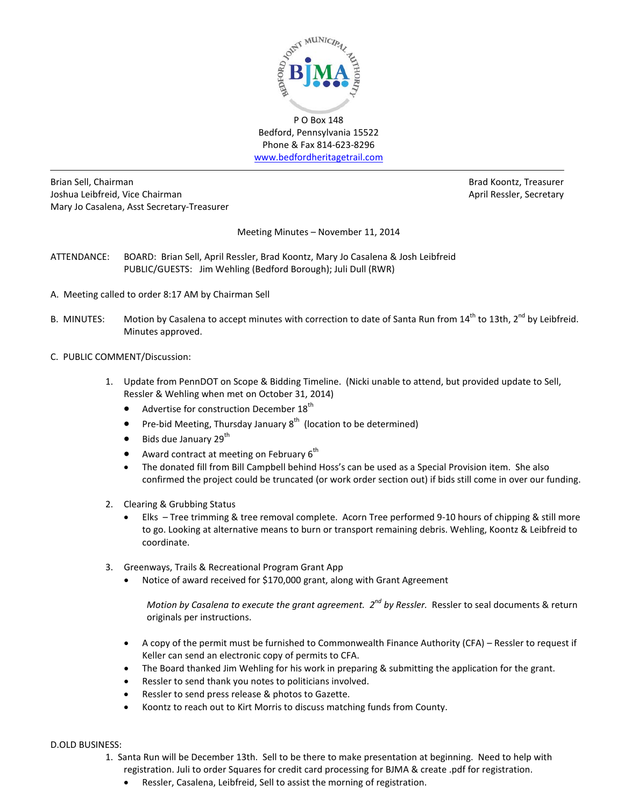

Bedford, Pennsylvania 15522 Phone & Fax 814-623-8296 [www.bedfordheritagetrail.com](http://www.bedfordheritagetrail.com/)

Brian Sell, Chairman Brad Koontz, Treasurer and Brad Koontz, Treasurer and Brad Koontz, Treasurer Joshua Leibfreid, Vice Chairman **April Ressler, Secretary** April Ressler, Secretary Mary Jo Casalena, Asst Secretary-Treasurer

Meeting Minutes – November 11, 2014

- ATTENDANCE: BOARD: Brian Sell, April Ressler, Brad Koontz, Mary Jo Casalena & Josh Leibfreid PUBLIC/GUESTS: Jim Wehling (Bedford Borough); Juli Dull (RWR)
- A. Meeting called to order 8:17 AM by Chairman Sell
- B. MINUTES: Motion by Casalena to accept minutes with correction to date of Santa Run from 14<sup>th</sup> to 13th, 2<sup>nd</sup> by Leibfreid. Minutes approved.
- C. PUBLIC COMMENT/Discussion:
	- 1. Update from PennDOT on Scope & Bidding Timeline. (Nicki unable to attend, but provided update to Sell, Ressler & Wehling when met on October 31, 2014)
		- Advertise for construction December 18<sup>th</sup>
		- Pre-bid Meeting, Thursday January  $8^{th}$  (location to be determined)
		- $\bullet$  Bids due January 29<sup>th</sup>
		- Award contract at meeting on February  $6<sup>th</sup>$
		- The donated fill from Bill Campbell behind Hoss's can be used as a Special Provision item. She also confirmed the project could be truncated (or work order section out) if bids still come in over our funding.
	- 2. Clearing & Grubbing Status
		- Elks Tree trimming & tree removal complete. Acorn Tree performed 9-10 hours of chipping & still more to go. Looking at alternative means to burn or transport remaining debris. Wehling, Koontz & Leibfreid to coordinate.
	- 3. Greenways, Trails & Recreational Program Grant App
		- Notice of award received for \$170,000 grant, along with Grant Agreement

*Motion by Casalena to execute the grant agreement.* 2<sup>nd</sup> *by Ressler.* Ressler to seal documents & return originals per instructions.

- A copy of the permit must be furnished to Commonwealth Finance Authority (CFA) Ressler to request if Keller can send an electronic copy of permits to CFA.
- The Board thanked Jim Wehling for his work in preparing & submitting the application for the grant.
- Ressler to send thank you notes to politicians involved.
- Ressler to send press release & photos to Gazette.
- Koontz to reach out to Kirt Morris to discuss matching funds from County.

### D.OLD BUSINESS:

- 1. Santa Run will be December 13th. Sell to be there to make presentation at beginning. Need to help with registration. Juli to order Squares for credit card processing for BJMA & create .pdf for registration.
	- Ressler, Casalena, Leibfreid, Sell to assist the morning of registration.